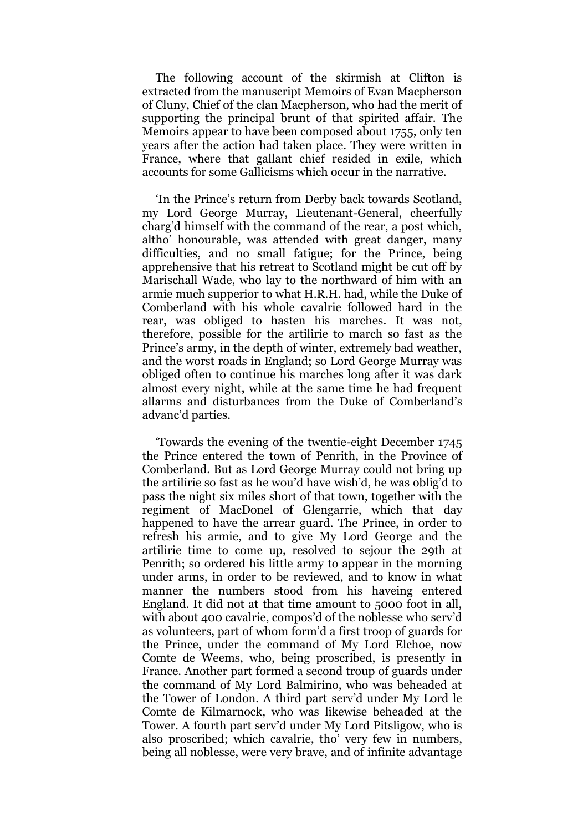The following account of the skirmish at Clifton is extracted from the manuscript Memoirs of Evan Macpherson of Cluny, Chief of the clan Macpherson, who had the merit of supporting the principal brunt of that spirited affair. The Memoirs appear to have been composed about 1755, only ten years after the action had taken place. They were written in France, where that gallant chief resided in exile, which accounts for some Gallicisms which occur in the narrative.

"In the Prince"s return from Derby back towards Scotland, my Lord George Murray, Lieutenant-General, cheerfully charg"d himself with the command of the rear, a post which, altho" honourable, was attended with great danger, many difficulties, and no small fatigue; for the Prince, being apprehensive that his retreat to Scotland might be cut off by Marischall Wade, who lay to the northward of him with an armie much supperior to what H.R.H. had, while the Duke of Comberland with his whole cavalrie followed hard in the rear, was obliged to hasten his marches. It was not, therefore, possible for the artilirie to march so fast as the Prince's army, in the depth of winter, extremely bad weather, and the worst roads in England; so Lord George Murray was obliged often to continue his marches long after it was dark almost every night, while at the same time he had frequent allarms and disturbances from the Duke of Comberland"s advanc'd parties.

"Towards the evening of the twentie-eight December 1745 the Prince entered the town of Penrith, in the Province of Comberland. But as Lord George Murray could not bring up the artilirie so fast as he wou"d have wish"d, he was oblig"d to pass the night six miles short of that town, together with the regiment of MacDonel of Glengarrie, which that day happened to have the arrear guard. The Prince, in order to refresh his armie, and to give My Lord George and the artilirie time to come up, resolved to sejour the 29th at Penrith; so ordered his little army to appear in the morning under arms, in order to be reviewed, and to know in what manner the numbers stood from his haveing entered England. It did not at that time amount to 5000 foot in all, with about 400 cavalrie, compos'd of the noblesse who serv'd as volunteers, part of whom form"d a first troop of guards for the Prince, under the command of My Lord Elchoe, now Comte de Weems, who, being proscribed, is presently in France. Another part formed a second troup of guards under the command of My Lord Balmirino, who was beheaded at the Tower of London. A third part serv"d under My Lord le Comte de Kilmarnock, who was likewise beheaded at the Tower. A fourth part serv"d under My Lord Pitsligow, who is also proscribed; which cavalrie, tho' very few in numbers, being all noblesse, were very brave, and of infinite advantage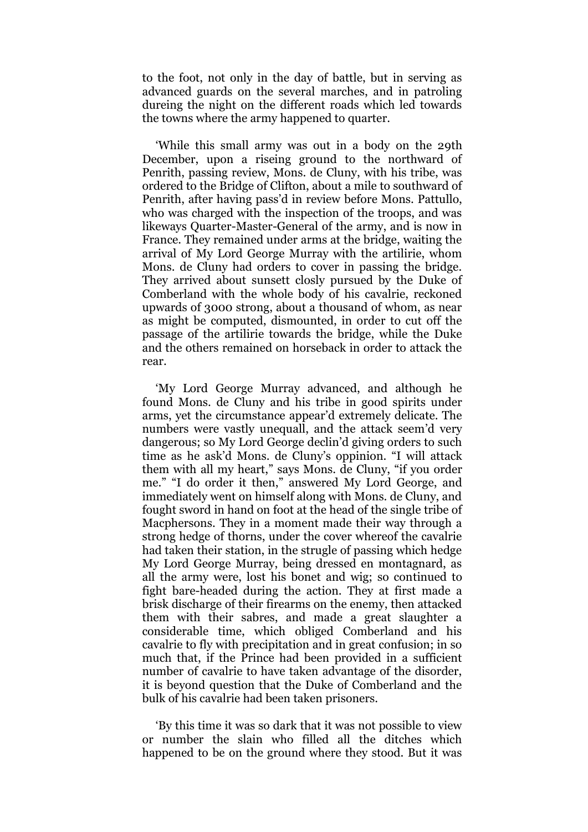to the foot, not only in the day of battle, but in serving as advanced guards on the several marches, and in patroling dureing the night on the different roads which led towards the towns where the army happened to quarter.

"While this small army was out in a body on the 29th December, upon a riseing ground to the northward of Penrith, passing review, Mons. de Cluny, with his tribe, was ordered to the Bridge of Clifton, about a mile to southward of Penrith, after having pass'd in review before Mons. Pattullo, who was charged with the inspection of the troops, and was likeways Quarter-Master-General of the army, and is now in France. They remained under arms at the bridge, waiting the arrival of My Lord George Murray with the artilirie, whom Mons. de Cluny had orders to cover in passing the bridge. They arrived about sunsett closly pursued by the Duke of Comberland with the whole body of his cavalrie, reckoned upwards of 3000 strong, about a thousand of whom, as near as might be computed, dismounted, in order to cut off the passage of the artilirie towards the bridge, while the Duke and the others remained on horseback in order to attack the rear.

'My Lord George Murray advanced, and although he found Mons. de Cluny and his tribe in good spirits under arms, yet the circumstance appear"d extremely delicate. The numbers were vastly unequall, and the attack seem"d very dangerous; so My Lord George declin"d giving orders to such time as he ask"d Mons. de Cluny"s oppinion. "I will attack them with all my heart," says Mons. de Cluny, "if you order me." "I do order it then," answered My Lord George, and immediately went on himself along with Mons. de Cluny, and fought sword in hand on foot at the head of the single tribe of Macphersons. They in a moment made their way through a strong hedge of thorns, under the cover whereof the cavalrie had taken their station, in the strugle of passing which hedge My Lord George Murray, being dressed en montagnard, as all the army were, lost his bonet and wig; so continued to fight bare-headed during the action. They at first made a brisk discharge of their firearms on the enemy, then attacked them with their sabres, and made a great slaughter a considerable time, which obliged Comberland and his cavalrie to fly with precipitation and in great confusion; in so much that, if the Prince had been provided in a sufficient number of cavalrie to have taken advantage of the disorder, it is beyond question that the Duke of Comberland and the bulk of his cavalrie had been taken prisoners.

"By this time it was so dark that it was not possible to view or number the slain who filled all the ditches which happened to be on the ground where they stood. But it was